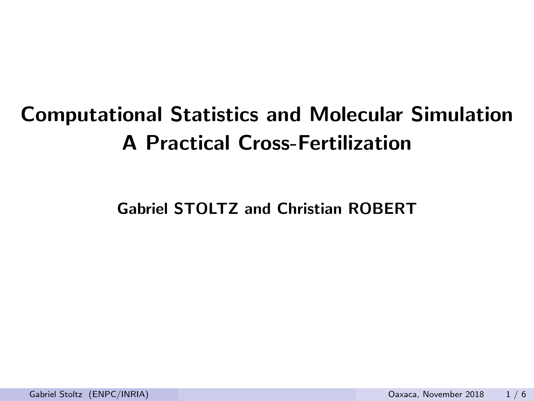# Computational Statistics and Molecular Simulation A Practical Cross-Fertilization

Gabriel STOLTZ and Christian ROBERT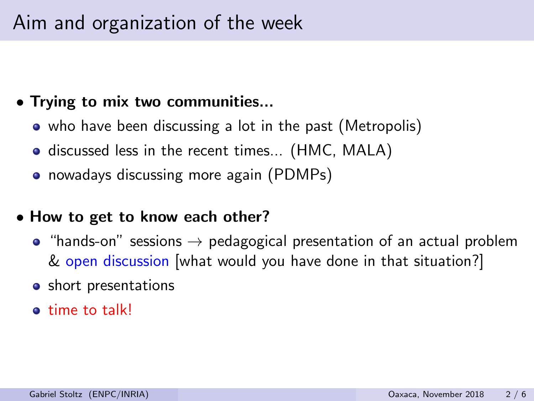### Aim and organization of the week

### • Trying to mix two communities...

- who have been discussing a lot in the past (Metropolis)
- **o** discussed less in the recent times... (HMC, MALA)
- nowadays discussing more again (PDMPs)

#### • How to get to know each other?

- "hands-on" sessions  $\rightarrow$  pedagogical presentation of an actual problem & open discussion [what would you have done in that situation?]
- **o** short presentations
- **e** time to talk!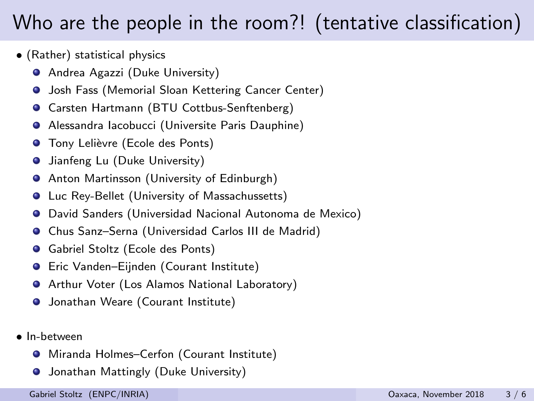### Who are the people in the room?! (tentative classification)

- (Rather) statistical physics
	- **•** Andrea Agazzi (Duke University)
	- **O** Josh Fass (Memorial Sloan Kettering Cancer Center)
	- **Carsten Hartmann (BTU Cottbus-Senftenberg)**
	- Alessandra Iacobucci (Universite Paris Dauphine)
	- **O** Tony Lelièvre (Ecole des Ponts)
	- Jianfeng Lu (Duke University) .
	- **•** Anton Martinsson (University of Edinburgh)
	- Luc Rey-Bellet (University of Massachussetts)
	- David Sanders (Universidad Nacional Autonoma de Mexico)
	- Chus Sanz–Serna (Universidad Carlos III de Madrid)
	- Gabriel Stoltz (Ecole des Ponts)
	- Eric Vanden–Eijnden (Courant Institute)
	- **•** Arthur Voter (Los Alamos National Laboratory)
	- **O** Jonathan Weare (Courant Institute)
- In-between
	- Miranda Holmes–Cerfon (Courant Institute)
	- **O** Jonathan Mattingly (Duke University)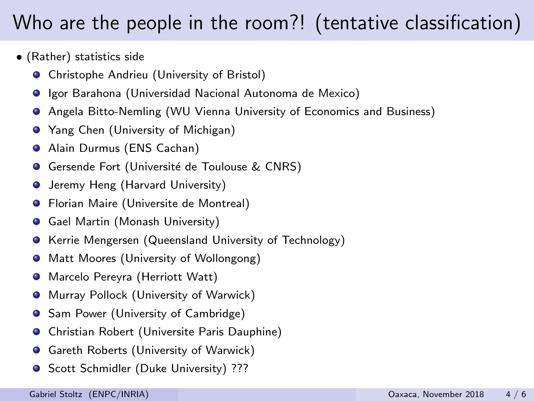## Who are the people in the room?! (tentative classification)

- (Rather) statistics side
	- **•** Christophe Andrieu (University of Bristol)
	- **Igor Barahona (Universidad Nacional Autonoma de Mexico)**
	- Angela Bitto-Nemling (WU Vienna University of Economics and Business)
	- **Yang Chen (University of Michigan)**
	- Alain Durmus (ENS Cachan)
	- Gersende Fort (Université de Toulouse & CNRS) .
	- **O** Jeremy Heng (Harvard University)
	- **•** Florian Maire (Universite de Montreal)
	- Gael Martin (Monash University)  $\bullet$
	- Kerrie Mengersen (Queensland University of Technology) .
	- **•** Matt Moores (University of Wollongong)
	- Marcelo Pereyra (Herriott Watt)  $\bullet$
	- **•** Murray Pollock (University of Warwick)
	- Sam Power (University of Cambridge)  $\bullet$
	- Christian Robert (Universite Paris Dauphine)  $\bullet$
	- Gareth Roberts (University of Warwick)  $\bullet$
	- **G** Scott Schmidler (Duke University) ???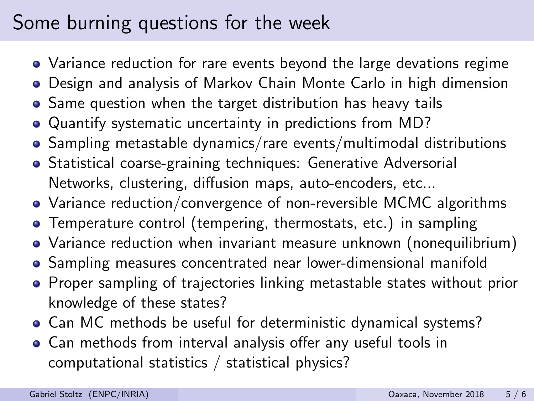### Some burning questions for the week

- Variance reduction for rare events beyond the large devations regime
- Design and analysis of Markov Chain Monte Carlo in high dimension
- Same question when the target distribution has heavy tails
- Quantify systematic uncertainty in predictions from MD?
- Sampling metastable dynamics/rare events/multimodal distributions
- Statistical coarse-graining techniques: Generative Adversorial Networks, clustering, diffusion maps, auto-encoders, etc...
- Variance reduction/convergence of non-reversible MCMC algorithms
- Temperature control (tempering, thermostats, etc.) in sampling
- Variance reduction when invariant measure unknown (nonequilibrium)
- Sampling measures concentrated near lower-dimensional manifold
- Proper sampling of trajectories linking metastable states without prior knowledge of these states?
- Can MC methods be useful for deterministic dynamical systems?
- Can methods from interval analysis offer any useful tools in computational statistics / statistical physics?